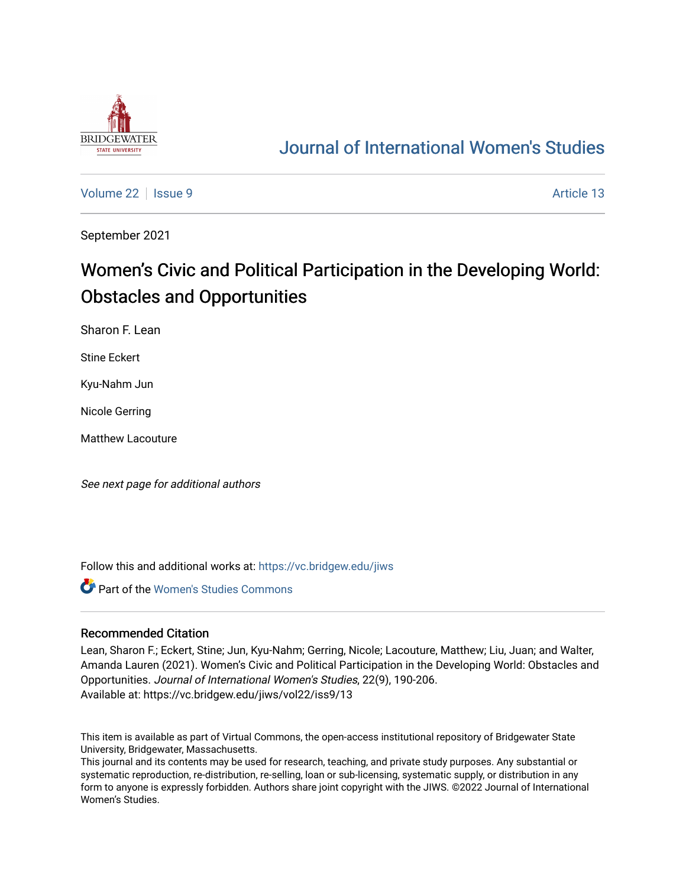

## [Journal of International Women's Studies](https://vc.bridgew.edu/jiws)

[Volume 22](https://vc.bridgew.edu/jiws/vol22) | [Issue 9](https://vc.bridgew.edu/jiws/vol22/iss9) Article 13

September 2021

# Women's Civic and Political Participation in the Developing World: Obstacles and Opportunities

Sharon F. Lean

Stine Eckert

Kyu-Nahm Jun

Nicole Gerring

Matthew Lacouture

See next page for additional authors

Follow this and additional works at: [https://vc.bridgew.edu/jiws](https://vc.bridgew.edu/jiws?utm_source=vc.bridgew.edu%2Fjiws%2Fvol22%2Fiss9%2F13&utm_medium=PDF&utm_campaign=PDFCoverPages)

**Part of the Women's Studies Commons** 

#### Recommended Citation

Lean, Sharon F.; Eckert, Stine; Jun, Kyu-Nahm; Gerring, Nicole; Lacouture, Matthew; Liu, Juan; and Walter, Amanda Lauren (2021). Women's Civic and Political Participation in the Developing World: Obstacles and Opportunities. Journal of International Women's Studies, 22(9), 190-206. Available at: https://vc.bridgew.edu/jiws/vol22/iss9/13

This item is available as part of Virtual Commons, the open-access institutional repository of Bridgewater State University, Bridgewater, Massachusetts.

This journal and its contents may be used for research, teaching, and private study purposes. Any substantial or systematic reproduction, re-distribution, re-selling, loan or sub-licensing, systematic supply, or distribution in any form to anyone is expressly forbidden. Authors share joint copyright with the JIWS. ©2022 Journal of International Women's Studies.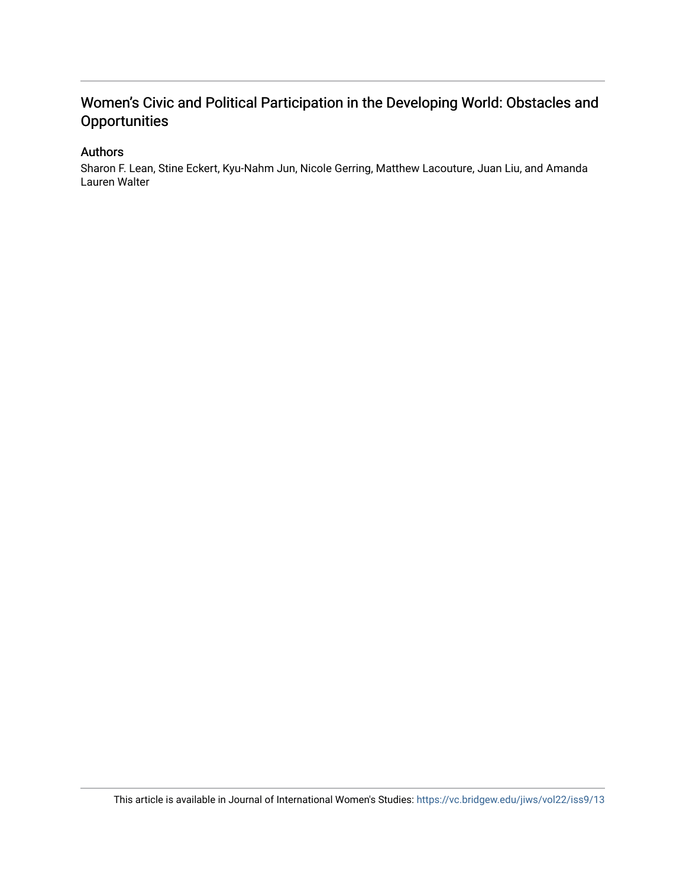### Women's Civic and Political Participation in the Developing World: Obstacles and **Opportunities**

#### Authors

Sharon F. Lean, Stine Eckert, Kyu-Nahm Jun, Nicole Gerring, Matthew Lacouture, Juan Liu, and Amanda Lauren Walter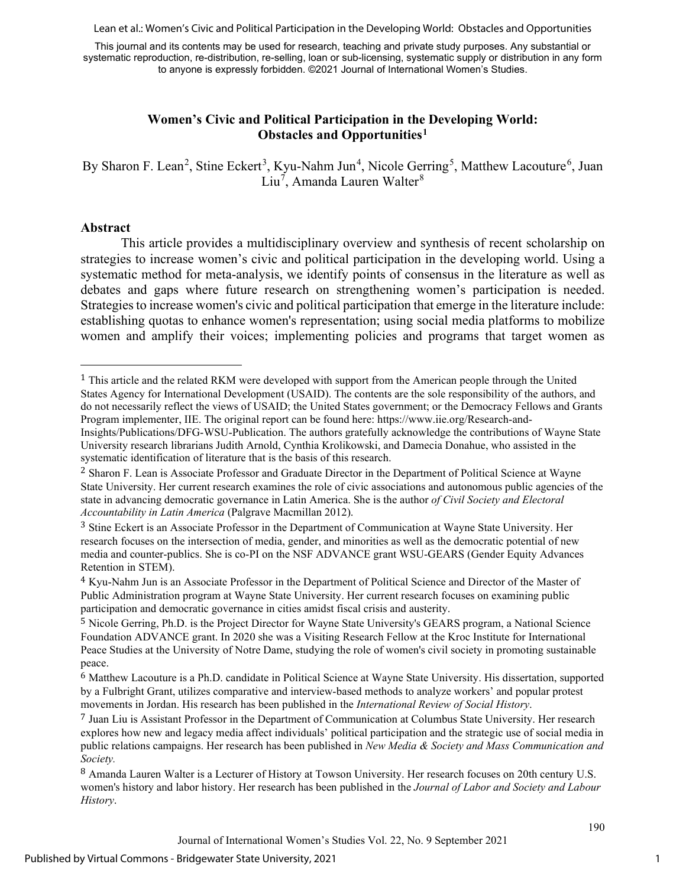Lean et al.: Women's Civic and Political Participation in the Developing World: Obstacles and Opportunities

This journal and its contents may be used for research, teaching and private study purposes. Any substantial or systematic reproduction, re-distribution, re-selling, loan or sub-licensing, systematic supply or distribution in any form to anyone is expressly forbidden. ©2021 Journal of International Women's Studies.

#### **Women's Civic and Political Participation in the Developing World: Obstacles and Opportunities[1](#page-2-0)**

By Sharon F. Lean<sup>[2](#page-2-1)</sup>, Stine Eckert<sup>[3](#page-2-2)</sup>, Kyu-Nahm Jun<sup>[4](#page-2-3)</sup>, Nicole Gerring<sup>[5](#page-2-4)</sup>, Matthew Lacouture<sup>[6](#page-2-5)</sup>, Juan Liu<sup>[7](#page-2-6)</sup>, Amanda Lauren Walter<sup>[8](#page-2-7)</sup>

#### **Abstract**

This article provides a multidisciplinary overview and synthesis of recent scholarship on strategies to increase women's civic and political participation in the developing world. Using a systematic method for meta-analysis, we identify points of consensus in the literature as well as debates and gaps where future research on strengthening women's participation is needed. Strategies to increase women's civic and political participation that emerge in the literature include: establishing quotas to enhance women's representation; using social media platforms to mobilize women and amplify their voices; implementing policies and programs that target women as

1

<span id="page-2-0"></span><sup>1</sup> This article and the related RKM were developed with support from the American people through the United States Agency for International Development (USAID). The contents are the sole responsibility of the authors, and do not necessarily reflect the views of USAID; the United States government; or the Democracy Fellows and Grants Program implementer, IIE. The original report can be found here: https://www.iie.org/Research-and-Insights/Publications/DFG-WSU-Publication. The authors gratefully acknowledge the contributions of Wayne State

University research librarians Judith Arnold, Cynthia Krolikowski, and Damecia Donahue, who assisted in the systematic identification of literature that is the basis of this research.

<span id="page-2-1"></span><sup>2</sup> Sharon F. Lean is Associate Professor and Graduate Director in the Department of Political Science at Wayne State University. Her current research examines the role of civic associations and autonomous public agencies of the state in advancing democratic governance in Latin America. She is the author *of Civil Society and Electoral Accountability in Latin America* (Palgrave Macmillan 2012).

<span id="page-2-2"></span><sup>3</sup> Stine Eckert is an Associate Professor in the Department of Communication at Wayne State University. Her research focuses on the intersection of media, gender, and minorities as well as the democratic potential of new media and counter-publics. She is co-PI on the NSF ADVANCE grant WSU-GEARS (Gender Equity Advances Retention in STEM).

<span id="page-2-3"></span><sup>4</sup> Kyu-Nahm Jun is an Associate Professor in the Department of Political Science and Director of the Master of Public Administration program at Wayne State University. Her current research focuses on examining public participation and democratic governance in cities amidst fiscal crisis and austerity.

<span id="page-2-4"></span><sup>5</sup> Nicole Gerring, Ph.D. is the Project Director for Wayne State University's GEARS program, a National Science Foundation ADVANCE grant. In 2020 she was a Visiting Research Fellow at the Kroc Institute for International Peace Studies at the University of Notre Dame, studying the role of women's civil society in promoting sustainable peace.

<span id="page-2-5"></span><sup>6</sup> Matthew Lacouture is a Ph.D. candidate in Political Science at Wayne State University. His dissertation, supported by a Fulbright Grant, utilizes comparative and interview-based methods to analyze workers' and popular protest movements in Jordan. His research has been published in the *International Review of Social History*.

<span id="page-2-6"></span><sup>7</sup> Juan Liu is Assistant Professor in the Department of Communication at Columbus State University. Her research explores how new and legacy media affect individuals' political participation and the strategic use of social media in public relations campaigns. Her research has been published in *New Media & Society and Mass Communication and Society.*

<span id="page-2-7"></span><sup>8</sup> Amanda Lauren Walter is a Lecturer of History at Towson University. Her research focuses on 20th century U.S. women's history and labor history. Her research has been published in the *Journal of Labor and Society and Labour History*.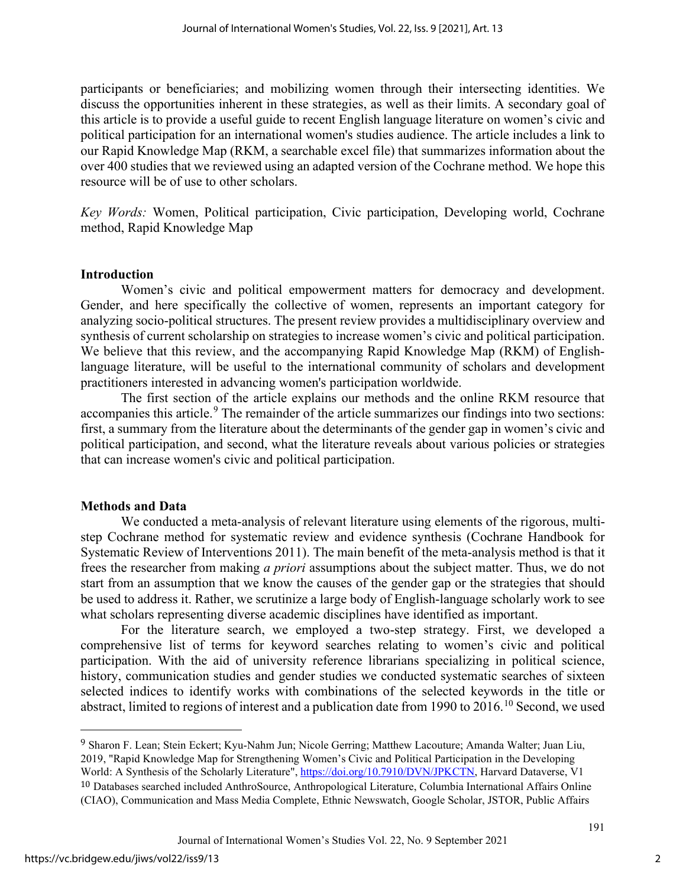participants or beneficiaries; and mobilizing women through their intersecting identities. We discuss the opportunities inherent in these strategies, as well as their limits. A secondary goal of this article is to provide a useful guide to recent English language literature on women's civic and political participation for an international women's studies audience. The article includes a link to our Rapid Knowledge Map (RKM, a searchable excel file) that summarizes information about the over 400 studies that we reviewed using an adapted version of the Cochrane method. We hope this resource will be of use to other scholars.

*Key Words:* Women, Political participation, Civic participation, Developing world, Cochrane method, Rapid Knowledge Map

#### **Introduction**

Women's civic and political empowerment matters for democracy and development. Gender, and here specifically the collective of women, represents an important category for analyzing socio-political structures. The present review provides a multidisciplinary overview and synthesis of current scholarship on strategies to increase women's civic and political participation. We believe that this review, and the accompanying Rapid Knowledge Map (RKM) of Englishlanguage literature, will be useful to the international community of scholars and development practitioners interested in advancing women's participation worldwide.

The first section of the article explains our methods and the online RKM resource that accompanies this article.<sup>[9](#page-3-0)</sup> The remainder of the article summarizes our findings into two sections: first, a summary from the literature about the determinants of the gender gap in women's civic and political participation, and second, what the literature reveals about various policies or strategies that can increase women's civic and political participation.

#### **Methods and Data**

We conducted a meta-analysis of relevant literature using elements of the rigorous, multistep Cochrane method for systematic review and evidence synthesis (Cochrane Handbook for Systematic Review of Interventions 2011). The main benefit of the meta-analysis method is that it frees the researcher from making *a priori* assumptions about the subject matter. Thus, we do not start from an assumption that we know the causes of the gender gap or the strategies that should be used to address it. Rather, we scrutinize a large body of English-language scholarly work to see what scholars representing diverse academic disciplines have identified as important.

For the literature search, we employed a two-step strategy. First, we developed a comprehensive list of terms for keyword searches relating to women's civic and political participation. With the aid of university reference librarians specializing in political science, history, communication studies and gender studies we conducted systematic searches of sixteen selected indices to identify works with combinations of the selected keywords in the title or abstract, limited to regions of interest and a publication date from 1990 to 2016.[10](#page-3-1) Second, we used

<span id="page-3-1"></span><span id="page-3-0"></span><sup>9</sup> Sharon F. Lean; Stein Eckert; Kyu-Nahm Jun; Nicole Gerring; Matthew Lacouture; Amanda Walter; Juan Liu, 2019, "Rapid Knowledge Map for Strengthening Women's Civic and Political Participation in the Developing World: A Synthesis of the Scholarly Literature", [https://doi.org/10.7910/DVN/JPKCTN,](https://doi.org/10.7910/DVN/JPKCTN) Harvard Dataverse, V1 10 Databases searched included AnthroSource, Anthropological Literature, Columbia International Affairs Online (CIAO), Communication and Mass Media Complete, Ethnic Newswatch, Google Scholar, JSTOR, Public Affairs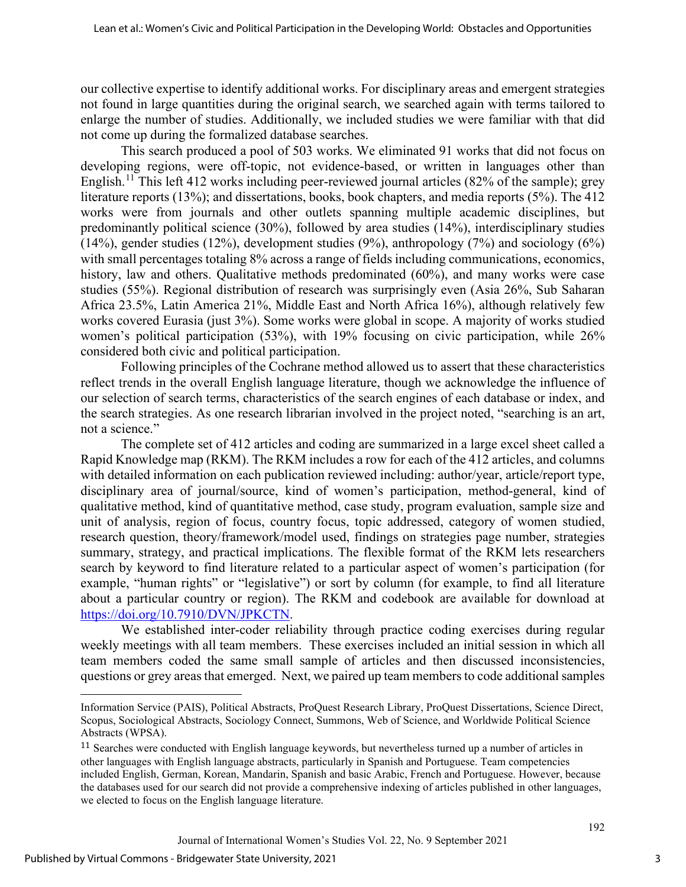our collective expertise to identify additional works. For disciplinary areas and emergent strategies not found in large quantities during the original search, we searched again with terms tailored to enlarge the number of studies. Additionally, we included studies we were familiar with that did not come up during the formalized database searches.

This search produced a pool of 503 works. We eliminated 91 works that did not focus on developing regions, were off-topic, not evidence-based, or written in languages other than English.<sup>[11](#page-4-0)</sup> This left 412 works including peer-reviewed journal articles (82% of the sample); grey literature reports (13%); and dissertations, books, book chapters, and media reports (5%). The 412 works were from journals and other outlets spanning multiple academic disciplines, but predominantly political science (30%), followed by area studies (14%), interdisciplinary studies (14%), gender studies (12%), development studies (9%), anthropology (7%) and sociology (6%) with small percentages totaling 8% across a range of fields including communications, economics, history, law and others. Qualitative methods predominated (60%), and many works were case studies (55%). Regional distribution of research was surprisingly even (Asia 26%, Sub Saharan Africa 23.5%, Latin America 21%, Middle East and North Africa 16%), although relatively few works covered Eurasia (just 3%). Some works were global in scope. A majority of works studied women's political participation (53%), with 19% focusing on civic participation, while 26% considered both civic and political participation.

Following principles of the Cochrane method allowed us to assert that these characteristics reflect trends in the overall English language literature, though we acknowledge the influence of our selection of search terms, characteristics of the search engines of each database or index, and the search strategies. As one research librarian involved in the project noted, "searching is an art, not a science."

The complete set of 412 articles and coding are summarized in a large excel sheet called a Rapid Knowledge map (RKM). The RKM includes a row for each of the 412 articles, and columns with detailed information on each publication reviewed including: author/year, article/report type, disciplinary area of journal/source, kind of women's participation, method-general, kind of qualitative method, kind of quantitative method, case study, program evaluation, sample size and unit of analysis, region of focus, country focus, topic addressed, category of women studied, research question, theory/framework/model used, findings on strategies page number, strategies summary, strategy, and practical implications. The flexible format of the RKM lets researchers search by keyword to find literature related to a particular aspect of women's participation (for example, "human rights" or "legislative") or sort by column (for example, to find all literature about a particular country or region). The RKM and codebook are available for download at [https://doi.org/10.7910/DVN/JPKCTN.](https://doi.org/10.7910/DVN/JPKCTN)

We established inter-coder reliability through practice coding exercises during regular weekly meetings with all team members. These exercises included an initial session in which all team members coded the same small sample of articles and then discussed inconsistencies, questions or grey areas that emerged. Next, we paired up team members to code additional samples

Information Service (PAIS), Political Abstracts, ProQuest Research Library, ProQuest Dissertations, Science Direct, Scopus, Sociological Abstracts, Sociology Connect, Summons, Web of Science, and Worldwide Political Science Abstracts (WPSA).

<span id="page-4-0"></span><sup>11</sup> Searches were conducted with English language keywords, but nevertheless turned up a number of articles in other languages with English language abstracts, particularly in Spanish and Portuguese. Team competencies included English, German, Korean, Mandarin, Spanish and basic Arabic, French and Portuguese. However, because the databases used for our search did not provide a comprehensive indexing of articles published in other languages, we elected to focus on the English language literature.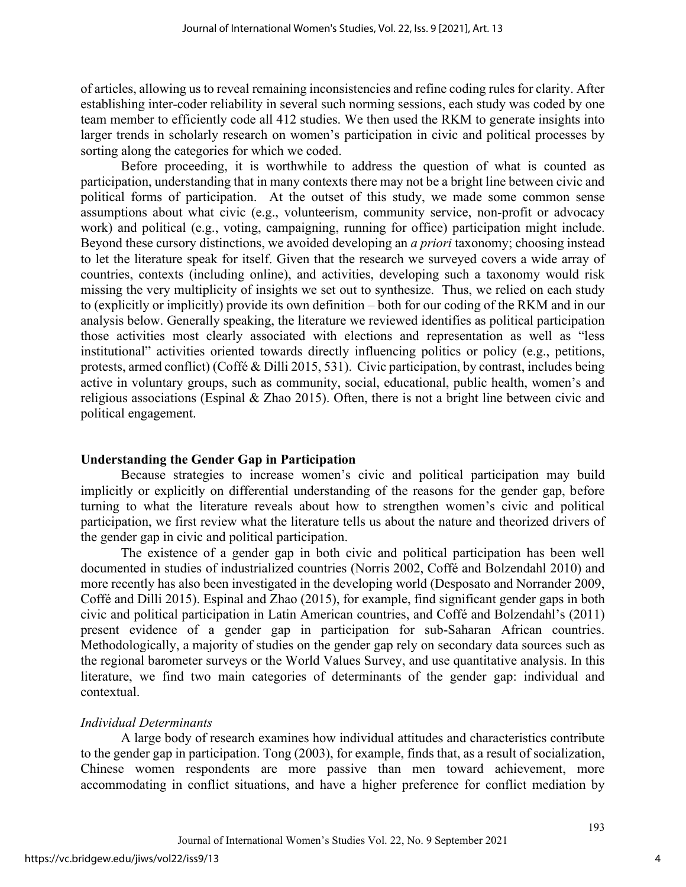of articles, allowing us to reveal remaining inconsistencies and refine coding rules for clarity. After establishing inter-coder reliability in several such norming sessions, each study was coded by one team member to efficiently code all 412 studies. We then used the RKM to generate insights into larger trends in scholarly research on women's participation in civic and political processes by sorting along the categories for which we coded.

Before proceeding, it is worthwhile to address the question of what is counted as participation, understanding that in many contexts there may not be a bright line between civic and political forms of participation. At the outset of this study, we made some common sense assumptions about what civic (e.g., volunteerism, community service, non-profit or advocacy work) and political (e.g., voting, campaigning, running for office) participation might include. Beyond these cursory distinctions, we avoided developing an *a priori* taxonomy; choosing instead to let the literature speak for itself. Given that the research we surveyed covers a wide array of countries, contexts (including online), and activities, developing such a taxonomy would risk missing the very multiplicity of insights we set out to synthesize. Thus, we relied on each study to (explicitly or implicitly) provide its own definition – both for our coding of the RKM and in our analysis below. Generally speaking, the literature we reviewed identifies as political participation those activities most clearly associated with elections and representation as well as "less institutional" activities oriented towards directly influencing politics or policy (e.g., petitions, protests, armed conflict) (Coffé & Dilli 2015, 531). Civic participation, by contrast, includes being active in voluntary groups, such as community, social, educational, public health, women's and religious associations (Espinal & Zhao 2015). Often, there is not a bright line between civic and political engagement.

#### **Understanding the Gender Gap in Participation**

Because strategies to increase women's civic and political participation may build implicitly or explicitly on differential understanding of the reasons for the gender gap, before turning to what the literature reveals about how to strengthen women's civic and political participation, we first review what the literature tells us about the nature and theorized drivers of the gender gap in civic and political participation.

The existence of a gender gap in both civic and political participation has been well documented in studies of industrialized countries (Norris 2002, Coffé and Bolzendahl 2010) and more recently has also been investigated in the developing world (Desposato and Norrander 2009, Coffé and Dilli 2015). Espinal and Zhao (2015), for example, find significant gender gaps in both civic and political participation in Latin American countries, and Coffé and Bolzendahl's (2011) present evidence of a gender gap in participation for sub-Saharan African countries. Methodologically, a majority of studies on the gender gap rely on secondary data sources such as the regional barometer surveys or the World Values Survey, and use quantitative analysis. In this literature, we find two main categories of determinants of the gender gap: individual and contextual.

#### *Individual Determinants*

 A large body of research examines how individual attitudes and characteristics contribute to the gender gap in participation. Tong (2003), for example, finds that, as a result of socialization, Chinese women respondents are more passive than men toward achievement, more accommodating in conflict situations, and have a higher preference for conflict mediation by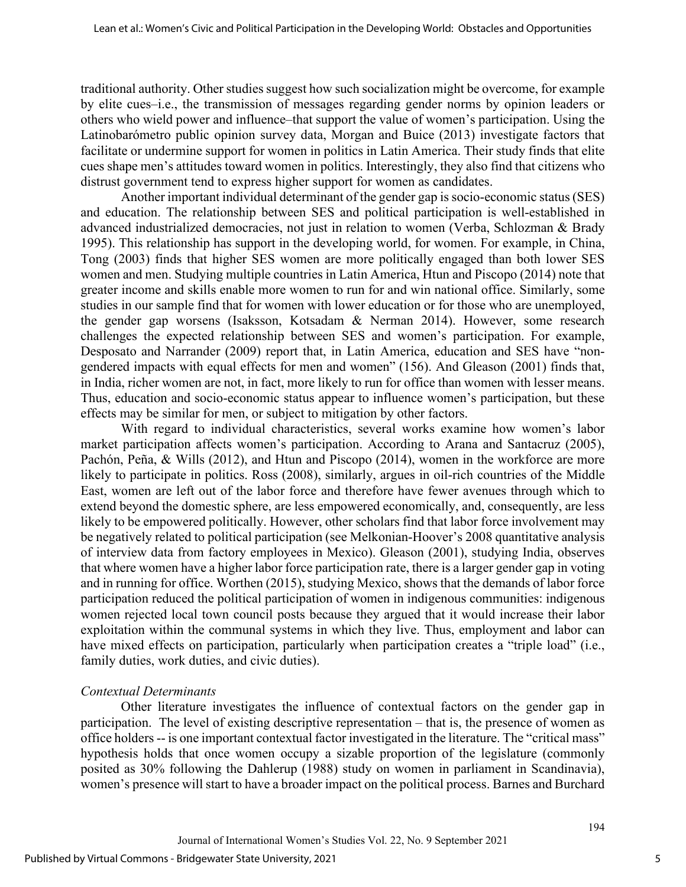traditional authority. Other studies suggest how such socialization might be overcome, for example by elite cues–i.e., the transmission of messages regarding gender norms by opinion leaders or others who wield power and influence–that support the value of women's participation. Using the Latinobarómetro public opinion survey data, Morgan and Buice (2013) investigate factors that facilitate or undermine support for women in politics in Latin America. Their study finds that elite cues shape men's attitudes toward women in politics. Interestingly, they also find that citizens who distrust government tend to express higher support for women as candidates.

Another important individual determinant of the gender gap is socio-economic status (SES) and education. The relationship between SES and political participation is well-established in advanced industrialized democracies, not just in relation to women (Verba, Schlozman & Brady 1995). This relationship has support in the developing world, for women. For example, in China, Tong (2003) finds that higher SES women are more politically engaged than both lower SES women and men. Studying multiple countries in Latin America, Htun and Piscopo (2014) note that greater income and skills enable more women to run for and win national office. Similarly, some studies in our sample find that for women with lower education or for those who are unemployed, the gender gap worsens (Isaksson, Kotsadam & Nerman 2014). However, some research challenges the expected relationship between SES and women's participation. For example, Desposato and Narrander (2009) report that, in Latin America, education and SES have "nongendered impacts with equal effects for men and women" (156). And Gleason (2001) finds that, in India, richer women are not, in fact, more likely to run for office than women with lesser means. Thus, education and socio-economic status appear to influence women's participation, but these effects may be similar for men, or subject to mitigation by other factors.

With regard to individual characteristics, several works examine how women's labor market participation affects women's participation. According to Arana and Santacruz (2005), Pachón, Peña, & Wills (2012), and Htun and Piscopo (2014), women in the workforce are more likely to participate in politics. Ross (2008), similarly, argues in oil-rich countries of the Middle East, women are left out of the labor force and therefore have fewer avenues through which to extend beyond the domestic sphere, are less empowered economically, and, consequently, are less likely to be empowered politically. However, other scholars find that labor force involvement may be negatively related to political participation (see Melkonian-Hoover's 2008 quantitative analysis of interview data from factory employees in Mexico). Gleason (2001), studying India, observes that where women have a higher labor force participation rate, there is a larger gender gap in voting and in running for office. Worthen (2015), studying Mexico, shows that the demands of labor force participation reduced the political participation of women in indigenous communities: indigenous women rejected local town council posts because they argued that it would increase their labor exploitation within the communal systems in which they live. Thus, employment and labor can have mixed effects on participation, particularly when participation creates a "triple load" (i.e., family duties, work duties, and civic duties).

#### *Contextual Determinants*

Other literature investigates the influence of contextual factors on the gender gap in participation. The level of existing descriptive representation – that is, the presence of women as office holders -- is one important contextual factor investigated in the literature. The "critical mass" hypothesis holds that once women occupy a sizable proportion of the legislature (commonly posited as 30% following the Dahlerup (1988) study on women in parliament in Scandinavia), women's presence will start to have a broader impact on the political process. Barnes and Burchard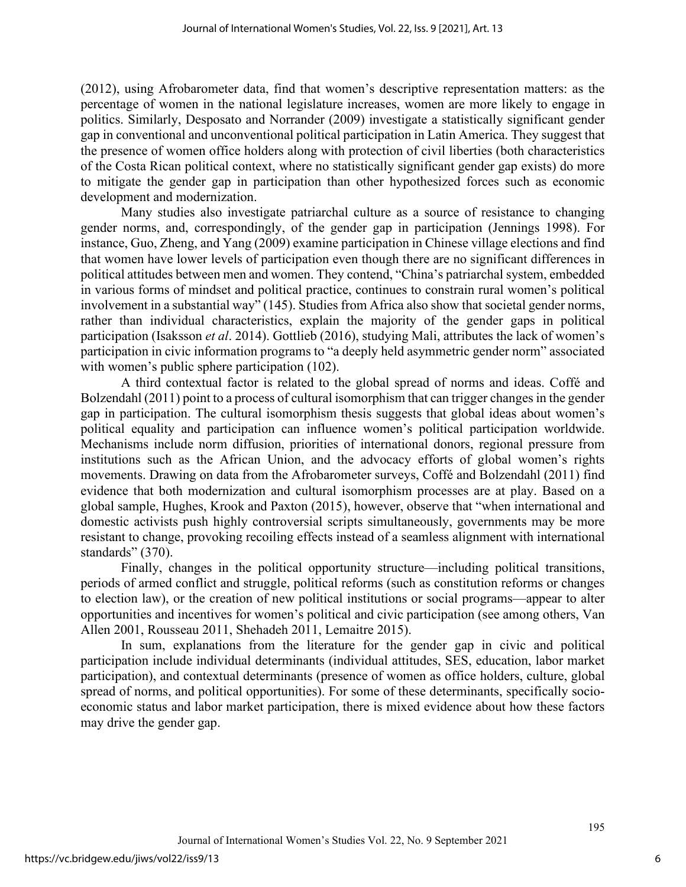(2012), using Afrobarometer data, find that women's descriptive representation matters: as the percentage of women in the national legislature increases, women are more likely to engage in politics. Similarly, Desposato and Norrander (2009) investigate a statistically significant gender gap in conventional and unconventional political participation in Latin America. They suggest that the presence of women office holders along with protection of civil liberties (both characteristics of the Costa Rican political context, where no statistically significant gender gap exists) do more to mitigate the gender gap in participation than other hypothesized forces such as economic development and modernization.

Many studies also investigate patriarchal culture as a source of resistance to changing gender norms, and, correspondingly, of the gender gap in participation (Jennings 1998). For instance, Guo, Zheng, and Yang (2009) examine participation in Chinese village elections and find that women have lower levels of participation even though there are no significant differences in political attitudes between men and women. They contend, "China's patriarchal system, embedded in various forms of mindset and political practice, continues to constrain rural women's political involvement in a substantial way" (145). Studies from Africa also show that societal gender norms, rather than individual characteristics, explain the majority of the gender gaps in political participation (Isaksson *et al*. 2014). Gottlieb (2016), studying Mali, attributes the lack of women's participation in civic information programs to "a deeply held asymmetric gender norm" associated with women's public sphere participation (102).

A third contextual factor is related to the global spread of norms and ideas. Coffé and Bolzendahl (2011) point to a process of cultural isomorphism that can trigger changes in the gender gap in participation. The cultural isomorphism thesis suggests that global ideas about women's political equality and participation can influence women's political participation worldwide. Mechanisms include norm diffusion, priorities of international donors, regional pressure from institutions such as the African Union, and the advocacy efforts of global women's rights movements. Drawing on data from the Afrobarometer surveys, Coffé and Bolzendahl (2011) find evidence that both modernization and cultural isomorphism processes are at play. Based on a global sample, Hughes, Krook and Paxton (2015), however, observe that "when international and domestic activists push highly controversial scripts simultaneously, governments may be more resistant to change, provoking recoiling effects instead of a seamless alignment with international standards" (370).

Finally, changes in the political opportunity structure—including political transitions, periods of armed conflict and struggle, political reforms (such as constitution reforms or changes to election law), or the creation of new political institutions or social programs—appear to alter opportunities and incentives for women's political and civic participation (see among others, Van Allen 2001, Rousseau 2011, Shehadeh 2011, Lemaitre 2015).

In sum, explanations from the literature for the gender gap in civic and political participation include individual determinants (individual attitudes, SES, education, labor market participation), and contextual determinants (presence of women as office holders, culture, global spread of norms, and political opportunities). For some of these determinants, specifically socioeconomic status and labor market participation, there is mixed evidence about how these factors may drive the gender gap.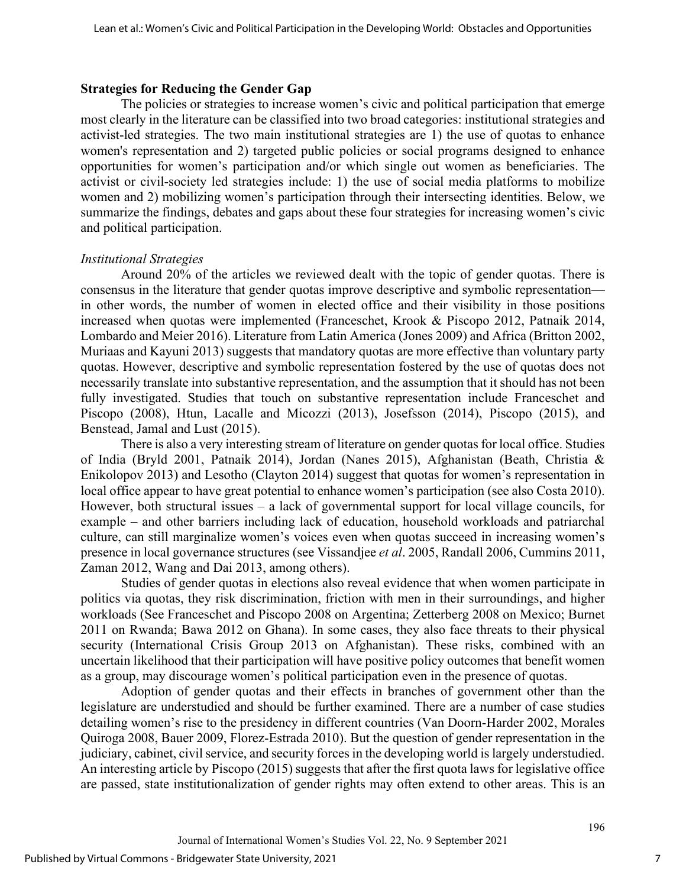#### **Strategies for Reducing the Gender Gap**

The policies or strategies to increase women's civic and political participation that emerge most clearly in the literature can be classified into two broad categories: institutional strategies and activist-led strategies. The two main institutional strategies are 1) the use of quotas to enhance women's representation and 2) targeted public policies or social programs designed to enhance opportunities for women's participation and/or which single out women as beneficiaries. The activist or civil-society led strategies include: 1) the use of social media platforms to mobilize women and 2) mobilizing women's participation through their intersecting identities. Below, we summarize the findings, debates and gaps about these four strategies for increasing women's civic and political participation.

#### *Institutional Strategies*

Around 20% of the articles we reviewed dealt with the topic of gender quotas. There is consensus in the literature that gender quotas improve descriptive and symbolic representation in other words, the number of women in elected office and their visibility in those positions increased when quotas were implemented (Franceschet, Krook & Piscopo 2012, Patnaik 2014, Lombardo and Meier 2016). Literature from Latin America (Jones 2009) and Africa (Britton 2002, Muriaas and Kayuni 2013) suggests that mandatory quotas are more effective than voluntary party quotas. However, descriptive and symbolic representation fostered by the use of quotas does not necessarily translate into substantive representation, and the assumption that it should has not been fully investigated. Studies that touch on substantive representation include Franceschet and Piscopo (2008), Htun, Lacalle and Micozzi (2013), Josefsson (2014), Piscopo (2015), and Benstead, Jamal and Lust (2015).

There is also a very interesting stream of literature on gender quotas for local office. Studies of India (Bryld 2001, Patnaik 2014), Jordan (Nanes 2015), Afghanistan (Beath, Christia & Enikolopov 2013) and Lesotho (Clayton 2014) suggest that quotas for women's representation in local office appear to have great potential to enhance women's participation (see also Costa 2010). However, both structural issues – a lack of governmental support for local village councils, for example – and other barriers including lack of education, household workloads and patriarchal culture, can still marginalize women's voices even when quotas succeed in increasing women's presence in local governance structures (see Vissandjee *et al*. 2005, Randall 2006, Cummins 2011, Zaman 2012, Wang and Dai 2013, among others).

Studies of gender quotas in elections also reveal evidence that when women participate in politics via quotas, they risk discrimination, friction with men in their surroundings, and higher workloads (See Franceschet and Piscopo 2008 on Argentina; Zetterberg 2008 on Mexico; Burnet 2011 on Rwanda; Bawa 2012 on Ghana). In some cases, they also face threats to their physical security (International Crisis Group 2013 on Afghanistan). These risks, combined with an uncertain likelihood that their participation will have positive policy outcomes that benefit women as a group, may discourage women's political participation even in the presence of quotas.

Adoption of gender quotas and their effects in branches of government other than the legislature are understudied and should be further examined. There are a number of case studies detailing women's rise to the presidency in different countries (Van Doorn-Harder 2002, Morales Quiroga 2008, Bauer 2009, Florez-Estrada 2010). But the question of gender representation in the judiciary, cabinet, civil service, and security forces in the developing world is largely understudied. An interesting article by Piscopo (2015) suggests that after the first quota laws for legislative office are passed, state institutionalization of gender rights may often extend to other areas. This is an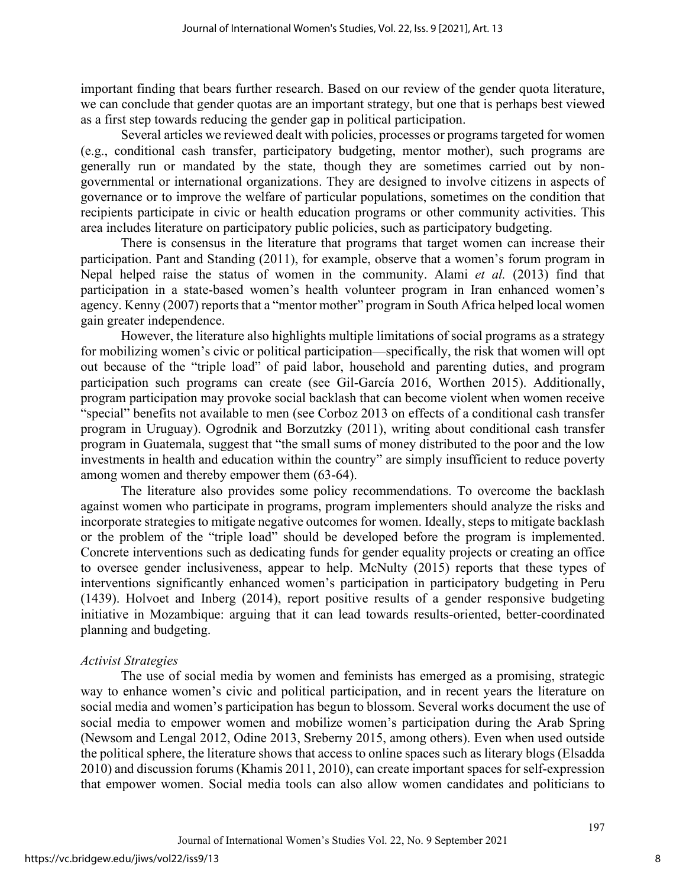important finding that bears further research. Based on our review of the gender quota literature, we can conclude that gender quotas are an important strategy, but one that is perhaps best viewed as a first step towards reducing the gender gap in political participation.

Several articles we reviewed dealt with policies, processes or programs targeted for women (e.g., conditional cash transfer, participatory budgeting, mentor mother), such programs are generally run or mandated by the state, though they are sometimes carried out by nongovernmental or international organizations. They are designed to involve citizens in aspects of governance or to improve the welfare of particular populations, sometimes on the condition that recipients participate in civic or health education programs or other community activities. This area includes literature on participatory public policies, such as participatory budgeting.

There is consensus in the literature that programs that target women can increase their participation. Pant and Standing (2011), for example, observe that a women's forum program in Nepal helped raise the status of women in the community. Alami *et al.* (2013) find that participation in a state-based women's health volunteer program in Iran enhanced women's agency. Kenny (2007) reports that a "mentor mother" program in South Africa helped local women gain greater independence.

However, the literature also highlights multiple limitations of social programs as a strategy for mobilizing women's civic or political participation—specifically, the risk that women will opt out because of the "triple load" of paid labor, household and parenting duties, and program participation such programs can create (see Gil-García 2016, Worthen 2015). Additionally, program participation may provoke social backlash that can become violent when women receive "special" benefits not available to men (see Corboz 2013 on effects of a conditional cash transfer program in Uruguay). Ogrodnik and Borzutzky (2011), writing about conditional cash transfer program in Guatemala, suggest that "the small sums of money distributed to the poor and the low investments in health and education within the country" are simply insufficient to reduce poverty among women and thereby empower them (63-64).

The literature also provides some policy recommendations. To overcome the backlash against women who participate in programs, program implementers should analyze the risks and incorporate strategies to mitigate negative outcomes for women. Ideally, steps to mitigate backlash or the problem of the "triple load" should be developed before the program is implemented. Concrete interventions such as dedicating funds for gender equality projects or creating an office to oversee gender inclusiveness, appear to help. McNulty (2015) reports that these types of interventions significantly enhanced women's participation in participatory budgeting in Peru (1439). Holvoet and Inberg (2014), report positive results of a gender responsive budgeting initiative in Mozambique: arguing that it can lead towards results-oriented, better-coordinated planning and budgeting.

#### *Activist Strategies*

The use of social media by women and feminists has emerged as a promising, strategic way to enhance women's civic and political participation, and in recent years the literature on social media and women's participation has begun to blossom. Several works document the use of social media to empower women and mobilize women's participation during the Arab Spring (Newsom and Lengal 2012, Odine 2013, Sreberny 2015, among others). Even when used outside the political sphere, the literature shows that access to online spaces such as literary blogs (Elsadda 2010) and discussion forums (Khamis 2011, 2010), can create important spaces for self-expression that empower women. Social media tools can also allow women candidates and politicians to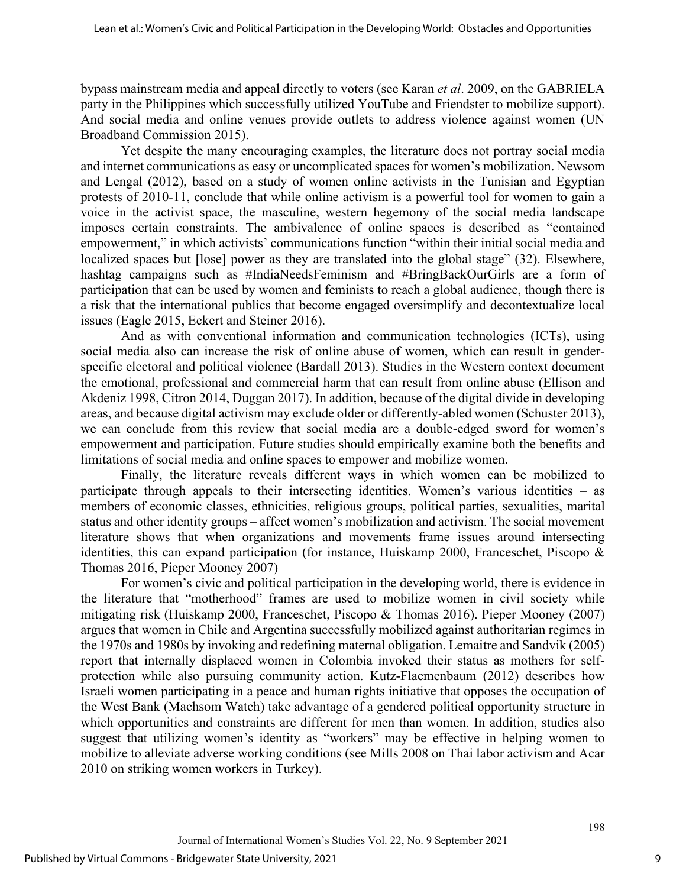bypass mainstream media and appeal directly to voters (see Karan *et al*. 2009, on the GABRIELA party in the Philippines which successfully utilized YouTube and Friendster to mobilize support). And social media and online venues provide outlets to address violence against women (UN Broadband Commission 2015).

Yet despite the many encouraging examples, the literature does not portray social media and internet communications as easy or uncomplicated spaces for women's mobilization. Newsom and Lengal (2012), based on a study of women online activists in the Tunisian and Egyptian protests of 2010-11, conclude that while online activism is a powerful tool for women to gain a voice in the activist space, the masculine, western hegemony of the social media landscape imposes certain constraints. The ambivalence of online spaces is described as "contained empowerment," in which activists' communications function "within their initial social media and localized spaces but [lose] power as they are translated into the global stage" (32). Elsewhere, hashtag campaigns such as #IndiaNeedsFeminism and #BringBackOurGirls are a form of participation that can be used by women and feminists to reach a global audience, though there is a risk that the international publics that become engaged oversimplify and decontextualize local issues (Eagle 2015, Eckert and Steiner 2016).

And as with conventional information and communication technologies (ICTs), using social media also can increase the risk of online abuse of women, which can result in genderspecific electoral and political violence (Bardall 2013). Studies in the Western context document the emotional, professional and commercial harm that can result from online abuse (Ellison and Akdeniz 1998, Citron 2014, Duggan 2017). In addition, because of the digital divide in developing areas, and because digital activism may exclude older or differently-abled women (Schuster 2013), we can conclude from this review that social media are a double-edged sword for women's empowerment and participation. Future studies should empirically examine both the benefits and limitations of social media and online spaces to empower and mobilize women.

Finally, the literature reveals different ways in which women can be mobilized to participate through appeals to their intersecting identities. Women's various identities – as members of economic classes, ethnicities, religious groups, political parties, sexualities, marital status and other identity groups – affect women's mobilization and activism. The social movement literature shows that when organizations and movements frame issues around intersecting identities, this can expand participation (for instance, Huiskamp 2000, Franceschet, Piscopo & Thomas 2016, Pieper Mooney 2007)

For women's civic and political participation in the developing world, there is evidence in the literature that "motherhood" frames are used to mobilize women in civil society while mitigating risk (Huiskamp 2000, Franceschet, Piscopo & Thomas 2016). Pieper Mooney (2007) argues that women in Chile and Argentina successfully mobilized against authoritarian regimes in the 1970s and 1980s by invoking and redefining maternal obligation. Lemaitre and Sandvik (2005) report that internally displaced women in Colombia invoked their status as mothers for selfprotection while also pursuing community action. Kutz-Flaemenbaum (2012) describes how Israeli women participating in a peace and human rights initiative that opposes the occupation of the West Bank (Machsom Watch) take advantage of a gendered political opportunity structure in which opportunities and constraints are different for men than women. In addition, studies also suggest that utilizing women's identity as "workers" may be effective in helping women to mobilize to alleviate adverse working conditions (see Mills 2008 on Thai labor activism and Acar 2010 on striking women workers in Turkey).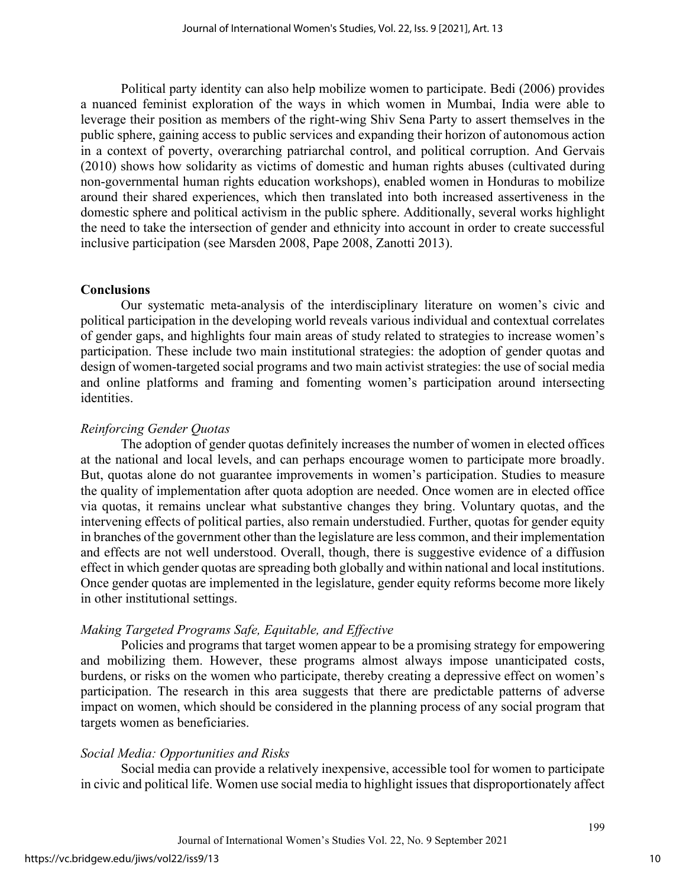Political party identity can also help mobilize women to participate. Bedi (2006) provides a nuanced feminist exploration of the ways in which women in Mumbai, India were able to leverage their position as members of the right-wing Shiv Sena Party to assert themselves in the public sphere, gaining access to public services and expanding their horizon of autonomous action in a context of poverty, overarching patriarchal control, and political corruption. And Gervais (2010) shows how solidarity as victims of domestic and human rights abuses (cultivated during non-governmental human rights education workshops), enabled women in Honduras to mobilize around their shared experiences, which then translated into both increased assertiveness in the domestic sphere and political activism in the public sphere. Additionally, several works highlight the need to take the intersection of gender and ethnicity into account in order to create successful inclusive participation (see Marsden 2008, Pape 2008, Zanotti 2013).

#### **Conclusions**

Our systematic meta-analysis of the interdisciplinary literature on women's civic and political participation in the developing world reveals various individual and contextual correlates of gender gaps, and highlights four main areas of study related to strategies to increase women's participation. These include two main institutional strategies: the adoption of gender quotas and design of women-targeted social programs and two main activist strategies: the use of social media and online platforms and framing and fomenting women's participation around intersecting identities.

#### *Reinforcing Gender Quotas*

The adoption of gender quotas definitely increases the number of women in elected offices at the national and local levels, and can perhaps encourage women to participate more broadly. But, quotas alone do not guarantee improvements in women's participation. Studies to measure the quality of implementation after quota adoption are needed. Once women are in elected office via quotas, it remains unclear what substantive changes they bring. Voluntary quotas, and the intervening effects of political parties, also remain understudied. Further, quotas for gender equity in branches of the government other than the legislature are less common, and their implementation and effects are not well understood. Overall, though, there is suggestive evidence of a diffusion effect in which gender quotas are spreading both globally and within national and local institutions. Once gender quotas are implemented in the legislature, gender equity reforms become more likely in other institutional settings.

#### *Making Targeted Programs Safe, Equitable, and Effective*

Policies and programs that target women appear to be a promising strategy for empowering and mobilizing them. However, these programs almost always impose unanticipated costs, burdens, or risks on the women who participate, thereby creating a depressive effect on women's participation. The research in this area suggests that there are predictable patterns of adverse impact on women, which should be considered in the planning process of any social program that targets women as beneficiaries.

#### *Social Media: Opportunities and Risks*

Social media can provide a relatively inexpensive, accessible tool for women to participate in civic and political life. Women use social media to highlight issues that disproportionately affect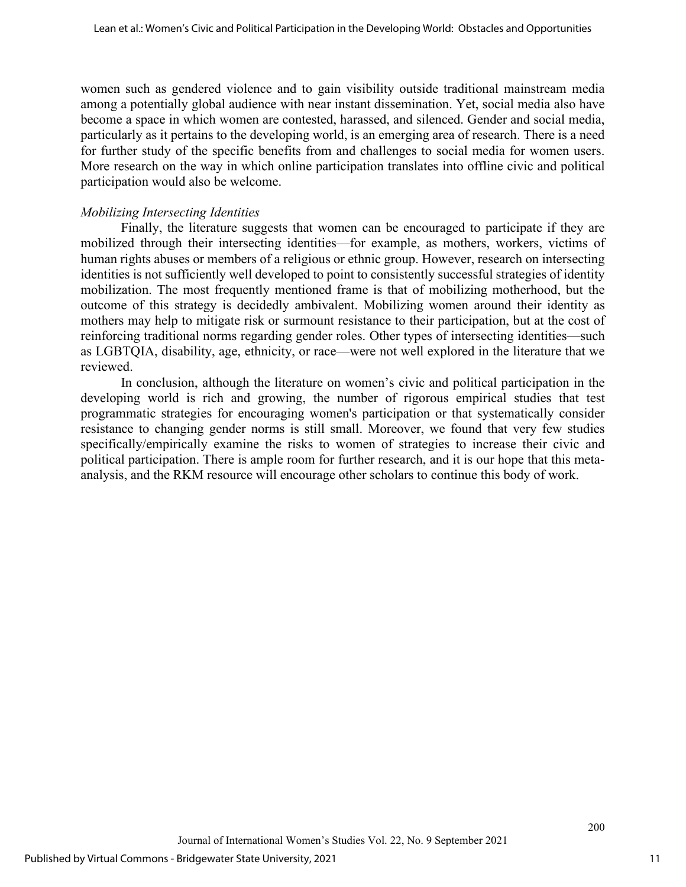women such as gendered violence and to gain visibility outside traditional mainstream media among a potentially global audience with near instant dissemination. Yet, social media also have become a space in which women are contested, harassed, and silenced. Gender and social media, particularly as it pertains to the developing world, is an emerging area of research. There is a need for further study of the specific benefits from and challenges to social media for women users. More research on the way in which online participation translates into offline civic and political participation would also be welcome.

#### *Mobilizing Intersecting Identities*

Finally, the literature suggests that women can be encouraged to participate if they are mobilized through their intersecting identities—for example, as mothers, workers, victims of human rights abuses or members of a religious or ethnic group. However, research on intersecting identities is not sufficiently well developed to point to consistently successful strategies of identity mobilization. The most frequently mentioned frame is that of mobilizing motherhood, but the outcome of this strategy is decidedly ambivalent. Mobilizing women around their identity as mothers may help to mitigate risk or surmount resistance to their participation, but at the cost of reinforcing traditional norms regarding gender roles. Other types of intersecting identities—such as LGBTQIA, disability, age, ethnicity, or race—were not well explored in the literature that we reviewed.

In conclusion, although the literature on women's civic and political participation in the developing world is rich and growing, the number of rigorous empirical studies that test programmatic strategies for encouraging women's participation or that systematically consider resistance to changing gender norms is still small. Moreover, we found that very few studies specifically/empirically examine the risks to women of strategies to increase their civic and political participation. There is ample room for further research, and it is our hope that this metaanalysis, and the RKM resource will encourage other scholars to continue this body of work.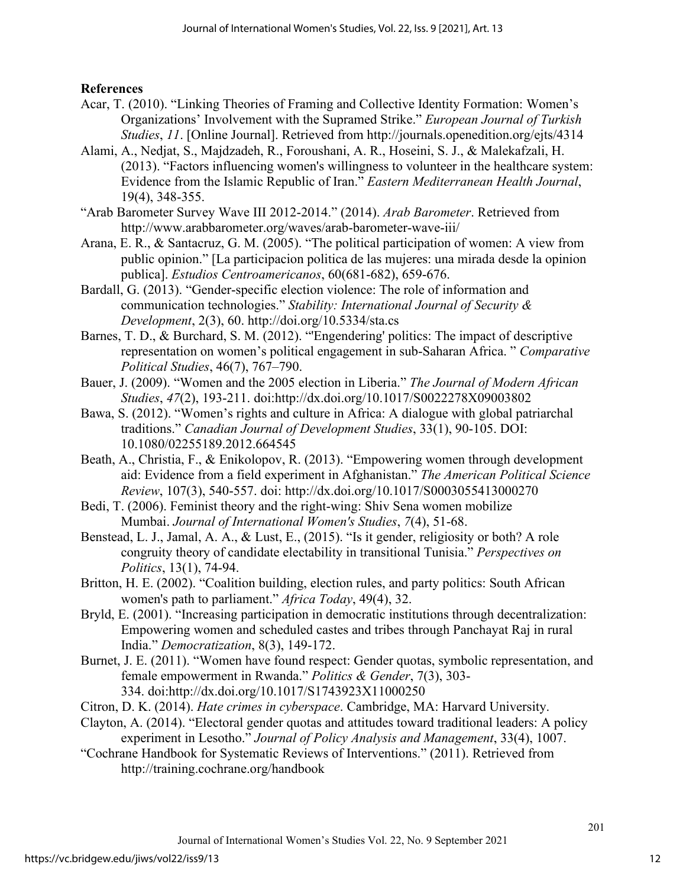#### **References**

- Acar, T. (2010). "Linking Theories of Framing and Collective Identity Formation: Women's Organizations' Involvement with the Supramed Strike." *European Journal of Turkish Studies*, *11*. [Online Journal]. Retrieved from http://journals.openedition.org/ejts/4314
- Alami, A., Nedjat, S., Majdzadeh, R., Foroushani, A. R., Hoseini, S. J., & Malekafzali, H. (2013). "Factors influencing women's willingness to volunteer in the healthcare system: Evidence from the Islamic Republic of Iran." *Eastern Mediterranean Health Journal*, 19(4), 348-355.
- "Arab Barometer Survey Wave III 2012-2014." (2014). *Arab Barometer*. Retrieved from http://www.arabbarometer.org/waves/arab-barometer-wave-iii/
- Arana, E. R., & Santacruz, G. M. (2005). "The political participation of women: A view from public opinion." [La participacion politica de las mujeres: una mirada desde la opinion publica]. *Estudios Centroamericanos*, 60(681-682), 659-676.
- Bardall, G. (2013). "Gender-specific election violence: The role of information and communication technologies." *Stability: International Journal of Security & Development*, 2(3), 60.<http://doi.org/10.5334/sta.cs>
- Barnes, T. D., & Burchard, S. M. (2012). "'Engendering' politics: The impact of descriptive representation on women's political engagement in sub-Saharan Africa. " *Comparative Political Studies*, 46(7), 767–790.
- Bauer, J. (2009). "Women and the 2005 election in Liberia." *The Journal of Modern African Studies*, *47*(2), 193-211. doi:http://dx.doi.org/10.1017/S0022278X09003802
- Bawa, S. (2012). "Women's rights and culture in Africa: A dialogue with global patriarchal traditions." *Canadian Journal of Development Studies*, 33(1), 90-105. DOI: 10.1080/02255189.2012.664545
- Beath, A., Christia, F., & Enikolopov, R. (2013). "Empowering women through development aid: Evidence from a field experiment in Afghanistan." *The American Political Science Review*, 107(3), 540-557. doi: http://dx.doi.org/10.1017/S0003055413000270
- Bedi, T. (2006). Feminist theory and the right-wing: Shiv Sena women mobilize Mumbai. *Journal of International Women's Studies*, *7*(4), 51-68.
- Benstead, L. J., Jamal, A. A., & Lust, E., (2015). "Is it gender, religiosity or both? A role congruity theory of candidate electability in transitional Tunisia." *Perspectives on Politics*, 13(1), 74-94.
- Britton, H. E. (2002). "Coalition building, election rules, and party politics: South African women's path to parliament." *Africa Today*, 49(4), 32.
- Bryld, E. (2001). "Increasing participation in democratic institutions through decentralization: Empowering women and scheduled castes and tribes through Panchayat Raj in rural India." *Democratization*, 8(3), 149-172.
- Burnet, J. E. (2011). "Women have found respect: Gender quotas, symbolic representation, and female empowerment in Rwanda." *Politics & Gender*, 7(3), 303- 334. doi:http://dx.doi.org/10.1017/S1743923X11000250
- Citron, D. K. (2014). *Hate crimes in cyberspace*. Cambridge, MA: Harvard University.
- Clayton, A. (2014). "Electoral gender quotas and attitudes toward traditional leaders: A policy experiment in Lesotho." *Journal of Policy Analysis and Management*, 33(4), 1007.
- "Cochrane Handbook for Systematic Reviews of Interventions." (2011). Retrieved from <http://training.cochrane.org/handbook>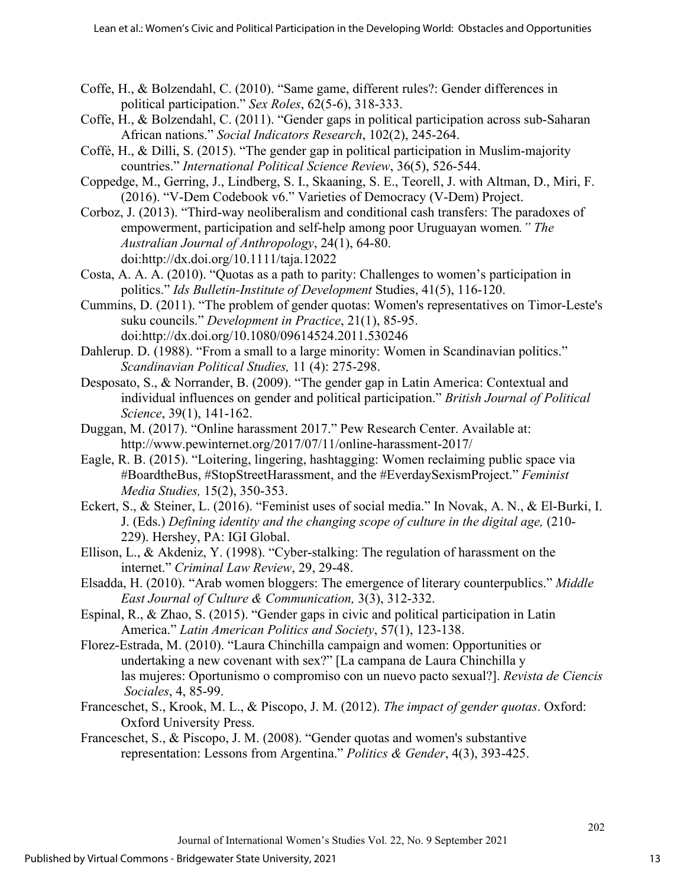- Coffe, H., & Bolzendahl, C. (2010). "Same game, different rules?: Gender differences in political participation." *Sex Roles*, 62(5-6), 318-333.
- Coffe, H., & Bolzendahl, C. (2011). "Gender gaps in political participation across sub-Saharan African nations." *Social Indicators Research*, 102(2), 245-264.
- Coffé, H., & Dilli, S. (2015). "The gender gap in political participation in Muslim-majority countries." *International Political Science Review*, 36(5), 526-544.
- Coppedge, M., Gerring, J., Lindberg, S. I., Skaaning, S. E., Teorell, J. with Altman, D., Miri, F. (2016). "V-Dem Codebook v6." Varieties of Democracy (V-Dem) Project.
- Corboz, J. (2013). "Third-way neoliberalism and conditional cash transfers: The paradoxes of empowerment, participation and self-help among poor Uruguayan women*." The Australian Journal of Anthropology*, 24(1), 64-80. doi:http://dx.doi.org/10.1111/taja.12022
- Costa, A. A. A. (2010). "Quotas as a path to parity: Challenges to women's participation in politics." *Ids Bulletin-Institute of Development* Studies, 41(5), 116-120.
- Cummins, D. (2011). "The problem of gender quotas: Women's representatives on Timor-Leste's suku councils." *Development in Practice*, 21(1), 85-95. doi:http://dx.doi.org/10.1080/09614524.2011.530246
- Dahlerup. D. (1988). "From a small to a large minority: Women in Scandinavian politics." *Scandinavian Political Studies,* 11 (4): 275-298.
- Desposato, S., & Norrander, B. (2009). "The gender gap in Latin America: Contextual and individual influences on gender and political participation." *British Journal of Political Science*, 39(1), 141-162.
- Duggan, M. (2017). "Online harassment 2017." Pew Research Center. Available at: http://www.pewinternet.org/2017/07/11/online-harassment-2017/
- Eagle, R. B. (2015). "Loitering, lingering, hashtagging: Women reclaiming public space via #BoardtheBus, #StopStreetHarassment, and the #EverdaySexismProject." *Feminist Media Studies,* 15(2), 350-353.
- Eckert, S., & Steiner, L. (2016). "Feminist uses of social media." In Novak, A. N., & El-Burki, I. J. (Eds.) *Defining identity and the changing scope of culture in the digital age,* (210- 229). Hershey, PA: IGI Global.
- Ellison, L., & Akdeniz, Y. (1998). "Cyber-stalking: The regulation of harassment on the internet." *Criminal Law Review*, 29, 29-48.
- Elsadda, H. (2010). "Arab women bloggers: The emergence of literary counterpublics." *Middle East Journal of Culture & Communication,* 3(3), 312-332.
- Espinal, R., & Zhao, S. (2015). "Gender gaps in civic and political participation in Latin America." *Latin American Politics and Society*, 57(1), 123-138.
- Florez-Estrada, M. (2010). "Laura Chinchilla campaign and women: Opportunities or undertaking a new covenant with sex?" [La campana de Laura Chinchilla y las mujeres: Oportunismo o compromiso con un nuevo pacto sexual?]. *Revista de Ciencis Sociales*, 4, 85-99.
- Franceschet, S., Krook, M. L., & Piscopo, J. M. (2012). *The impact of gender quotas*. Oxford: Oxford University Press.
- Franceschet, S., & Piscopo, J. M. (2008). "Gender quotas and women's substantive representation: Lessons from Argentina." *Politics & Gender*, 4(3), 393-425.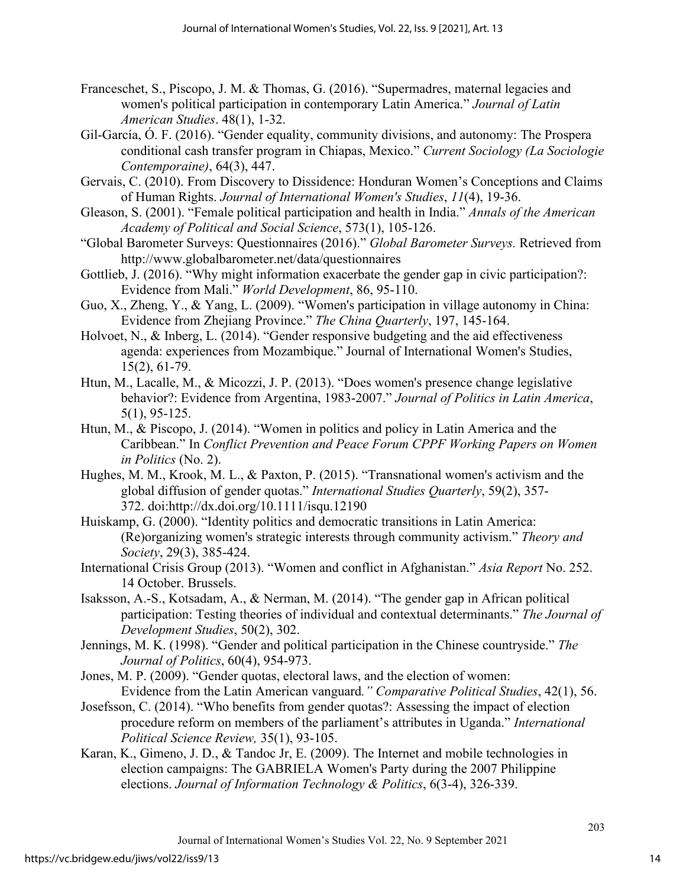- Franceschet, S., Piscopo, J. M. & Thomas, G. (2016). "Supermadres, maternal legacies and women's political participation in contemporary Latin America." *Journal of Latin American Studies*. 48(1), 1-32.
- Gil-García, Ó. F. (2016). "Gender equality, community divisions, and autonomy: The Prospera conditional cash transfer program in Chiapas, Mexico." *Current Sociology (La Sociologie Contemporaine)*, 64(3), 447.
- Gervais, C. (2010). From Discovery to Dissidence: Honduran Women's Conceptions and Claims of Human Rights. *Journal of International Women's Studies*, *11*(4), 19-36.
- Gleason, S. (2001). "Female political participation and health in India." *Annals of the American Academy of Political and Social Science*, 573(1), 105-126.
- "Global Barometer Surveys: Questionnaires (2016)." *Global Barometer Surveys.* Retrieved from <http://www.globalbarometer.net/data/questionnaires>
- Gottlieb, J. (2016). "Why might information exacerbate the gender gap in civic participation?: Evidence from Mali." *World Development*, 86, 95-110.
- Guo, X., Zheng, Y., & Yang, L. (2009). "Women's participation in village autonomy in China: Evidence from Zhejiang Province." *The China Quarterly*, 197, 145-164.
- Holvoet, N., & Inberg, L. (2014). "Gender responsive budgeting and the aid effectiveness agenda: experiences from Mozambique." Journal of International Women's Studies, 15(2), 61-79.
- Htun, M., Lacalle, M., & Micozzi, J. P. (2013). "Does women's presence change legislative behavior?: Evidence from Argentina, 1983-2007." *Journal of Politics in Latin America*, 5(1), 95-125.
- Htun, M., & Piscopo, J. (2014). "Women in politics and policy in Latin America and the Caribbean." In *Conflict Prevention and Peace Forum CPPF Working Papers on Women in Politics* (No. 2).
- Hughes, M. M., Krook, M. L., & Paxton, P. (2015). "Transnational women's activism and the global diffusion of gender quotas." *International Studies Quarterly*, 59(2), 357- 372. doi:http://dx.doi.org/10.1111/isqu.12190
- Huiskamp, G. (2000). "Identity politics and democratic transitions in Latin America: (Re)organizing women's strategic interests through community activism." *Theory and Society*, 29(3), 385-424.
- International Crisis Group (2013). "Women and conflict in Afghanistan." *Asia Report* No. 252. 14 October. Brussels.
- Isaksson, A.-S., Kotsadam, A., & Nerman, M. (2014). "The gender gap in African political participation: Testing theories of individual and contextual determinants." *The Journal of Development Studies*, 50(2), 302.
- Jennings, M. K. (1998). "Gender and political participation in the Chinese countryside." *The Journal of Politics*, 60(4), 954-973.
- Jones, M. P. (2009). "Gender quotas, electoral laws, and the election of women: Evidence from the Latin American vanguard*." Comparative Political Studies*, 42(1), 56.
- Josefsson, C. (2014). "Who benefits from gender quotas?: Assessing the impact of election procedure reform on members of the parliament's attributes in Uganda." *International Political Science Review,* 35(1), 93-105.
- Karan, K., Gimeno, J. D., & Tandoc Jr, E. (2009). The Internet and mobile technologies in election campaigns: The GABRIELA Women's Party during the 2007 Philippine elections. *Journal of Information Technology & Politics*, 6(3-4), 326-339.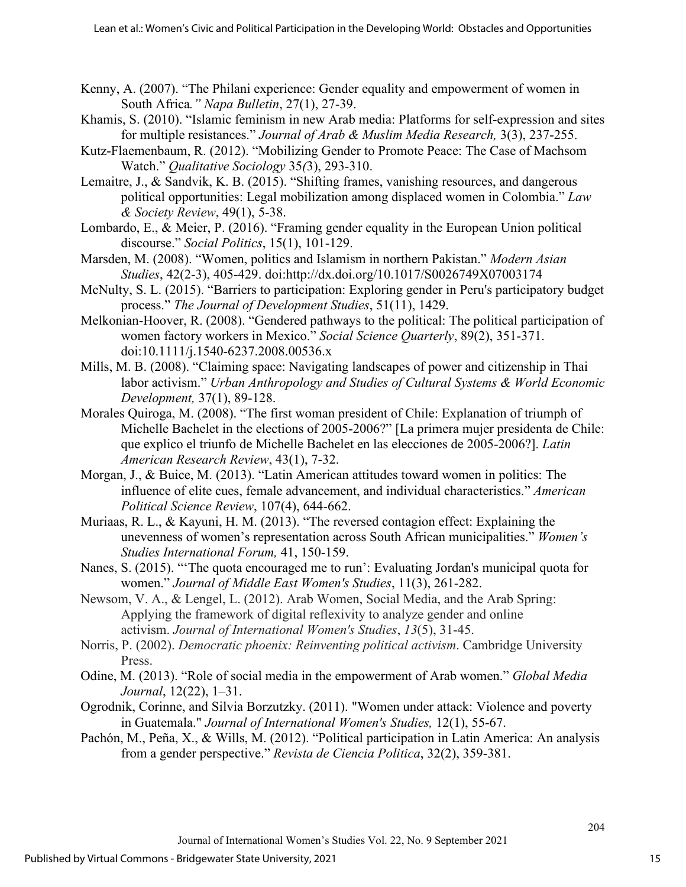- Kenny, A. (2007). "The Philani experience: Gender equality and empowerment of women in South Africa*." Napa Bulletin*, 27(1), 27-39.
- Khamis, S. (2010). "Islamic feminism in new Arab media: Platforms for self-expression and sites for multiple resistances." *Journal of Arab & Muslim Media Research,* 3(3), 237-255.
- Kutz-Flaemenbaum, R. (2012). "Mobilizing Gender to Promote Peace: The Case of Machsom Watch." *Qualitative Sociology* 35*(*3), 293-310.
- Lemaitre, J., & Sandvik, K. B. (2015). "Shifting frames, vanishing resources, and dangerous political opportunities: Legal mobilization among displaced women in Colombia." *Law & Society Review*, 49(1), 5-38.
- Lombardo, E., & Meier, P. (2016). "Framing gender equality in the European Union political discourse." *Social Politics*, 15(1), 101-129.
- Marsden, M. (2008). "Women, politics and Islamism in northern Pakistan." *Modern Asian Studies*, 42(2-3), 405-429. doi:http://dx.doi.org/10.1017/S0026749X07003174
- McNulty, S. L. (2015). "Barriers to participation: Exploring gender in Peru's participatory budget process." *The Journal of Development Studies*, 51(11), 1429.
- Melkonian-Hoover, R. (2008). "Gendered pathways to the political: The political participation of women factory workers in Mexico." *Social Science Quarterly*, 89(2), 351-371. doi:10.1111/j.1540-6237.2008.00536.x
- Mills, M. B. (2008). "Claiming space: Navigating landscapes of power and citizenship in Thai labor activism." *Urban Anthropology and Studies of Cultural Systems & World Economic Development,* 37(1), 89-128.
- Morales Quiroga, M. (2008). "The first woman president of Chile: Explanation of triumph of Michelle Bachelet in the elections of 2005-2006?" [La primera mujer presidenta de Chile: que explico el triunfo de Michelle Bachelet en las elecciones de 2005-2006?]. *Latin American Research Review*, 43(1), 7-32.
- Morgan, J., & Buice, M. (2013). "Latin American attitudes toward women in politics: The influence of elite cues, female advancement, and individual characteristics." *American Political Science Review*, 107(4), 644-662.
- Muriaas, R. L., & Kayuni, H. M. (2013). "The reversed contagion effect: Explaining the unevenness of women's representation across South African municipalities." *Women's Studies International Forum,* 41, 150-159.
- Nanes, S. (2015). "'The quota encouraged me to run': Evaluating Jordan's municipal quota for women." *Journal of Middle East Women's Studies*, 11(3), 261-282.
- Newsom, V. A., & Lengel, L. (2012). Arab Women, Social Media, and the Arab Spring: Applying the framework of digital reflexivity to analyze gender and online activism. *Journal of International Women's Studies*, *13*(5), 31-45.
- Norris, P. (2002). *Democratic phoenix: Reinventing political activism*. Cambridge University Press.
- Odine, M. (2013). "Role of social media in the empowerment of Arab women." *Global Media Journal*, 12(22), 1–31.
- Ogrodnik, Corinne, and Silvia Borzutzky. (2011). "Women under attack: Violence and poverty in Guatemala." *Journal of International Women's Studies,* 12(1), 55-67.
- Pachón, M., Peña, X., & Wills, M. (2012). "Political participation in Latin America: An analysis from a gender perspective." *Revista de Ciencia Politica*, 32(2), 359-381.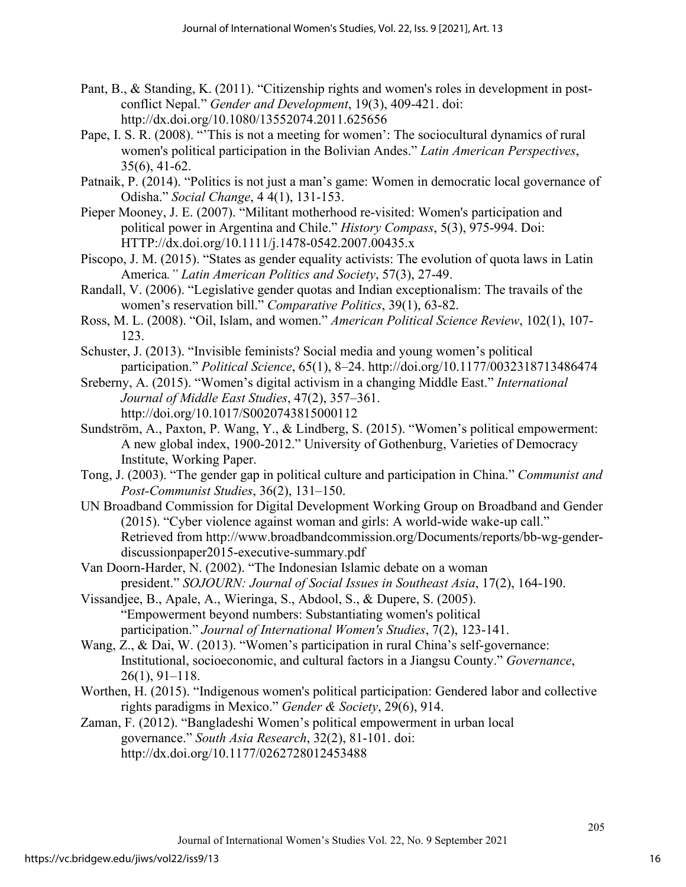- Pant, B., & Standing, K. (2011). "Citizenship rights and women's roles in development in postconflict Nepal." *Gender and Development*, 19(3), 409-421. doi: http://dx.doi.org/10.1080/13552074.2011.625656
- Pape, I. S. R. (2008). "'This is not a meeting for women': The sociocultural dynamics of rural women's political participation in the Bolivian Andes." *Latin American Perspectives*, 35(6), 41-62.
- Patnaik, P. (2014). "Politics is not just a man's game: Women in democratic local governance of Odisha." *Social Change*, 4 4(1), 131-153.
- Pieper Mooney, J. E. (2007). "Militant motherhood re-visited: Women's participation and political power in Argentina and Chile." *History Compass*, 5(3), 975-994. Doi: HTTP://dx.doi.org/10.1111/j.1478-0542.2007.00435.x
- Piscopo, J. M. (2015). "States as gender equality activists: The evolution of quota laws in Latin America*." Latin American Politics and Society*, 57(3), 27-49.
- Randall, V. (2006). "Legislative gender quotas and Indian exceptionalism: The travails of the women's reservation bill." *Comparative Politics*, 39(1), 63-82.
- Ross, M. L. (2008). "Oil, Islam, and women." *American Political Science Review*, 102(1), 107- 123.
- Schuster, J. (2013). "Invisible feminists? Social media and young women's political participation." *Political Science*, 65(1), 8–24.<http://doi.org/10.1177/0032318713486474>
- Sreberny, A. (2015). "Women's digital activism in a changing Middle East." *International Journal of Middle East Studies*, 47(2), 357–361. <http://doi.org/10.1017/S0020743815000112>
- Sundström, A., Paxton, P. Wang, Y., & Lindberg, S. (2015). "Women's political empowerment: A new global index, 1900-2012." University of Gothenburg, Varieties of Democracy Institute, Working Paper.
- Tong, J. (2003). "The gender gap in political culture and participation in China." *Communist and Post-Communist Studies*, 36(2), 131–150.
- UN Broadband Commission for Digital Development Working Group on Broadband and Gender (2015). "Cyber violence against woman and girls: A world-wide wake-up call." Retrieved from [http://www.broadbandcommission.org/Documents/reports/bb-wg-gender](http://www.broadbandcommission.org/Documents/reports/bb-wg-gender-discussionpaper2015-executive-summary.pdf)[discussionpaper2015-executive-summary.pdf](http://www.broadbandcommission.org/Documents/reports/bb-wg-gender-discussionpaper2015-executive-summary.pdf)
- Van Doorn-Harder, N. (2002). "The Indonesian Islamic debate on a woman president." *SOJOURN: Journal of Social Issues in Southeast Asia*, 17(2), 164-190.
- Vissandjee, B., Apale, A., Wieringa, S., Abdool, S., & Dupere, S. (2005). "Empowerment beyond numbers: Substantiating women's political participation." *Journal of International Women's Studies*, 7(2), 123-141.
- Wang, Z., & Dai, W. (2013). "Women's participation in rural China's self-governance: Institutional, socioeconomic, and cultural factors in a Jiangsu County." *Governance*, 26(1), 91–118.
- Worthen, H. (2015). "Indigenous women's political participation: Gendered labor and collective rights paradigms in Mexico." *Gender & Society*, 29(6), 914.
- Zaman, F. (2012). "Bangladeshi Women's political empowerment in urban local governance." *South Asia Research*, 32(2), 81-101. doi: http://dx.doi.org/10.1177/0262728012453488